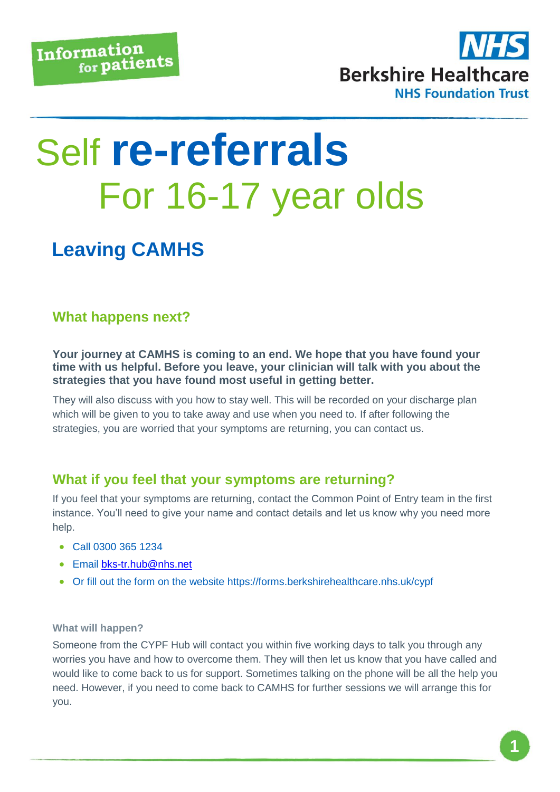

# Self **re-referrals** For 16-17 year olds

## **Leaving CAMHS**

### **What happens next?**

**Your journey at CAMHS is coming to an end. We hope that you have found your time with us helpful. Before you leave, your clinician will talk with you about the strategies that you have found most useful in getting better.** 

They will also discuss with you how to stay well. This will be recorded on your discharge plan which will be given to you to take away and use when you need to. If after following the strategies, you are worried that your symptoms are returning, you can contact us.

#### **What if you feel that your symptoms are returning?**

If you feel that your symptoms are returning, contact the Common Point of Entry team in the first instance. You'll need to give your name and contact details and let us know why you need more help.

- Call 0300 365 1234
- Email [bks-tr.hub@nhs.net](mailto:bks-tr.hub@nhs.net)
- Or fill out the form on the website https://forms.berkshirehealthcare.nhs.uk/cypf

#### **What will happen?**

Someone from the CYPF Hub will contact you within five working days to talk you through any worries you have and how to overcome them. They will then let us know that you have called and would like to come back to us for support. Sometimes talking on the phone will be all the help you need. However, if you need to come back to CAMHS for further sessions we will arrange this for you.